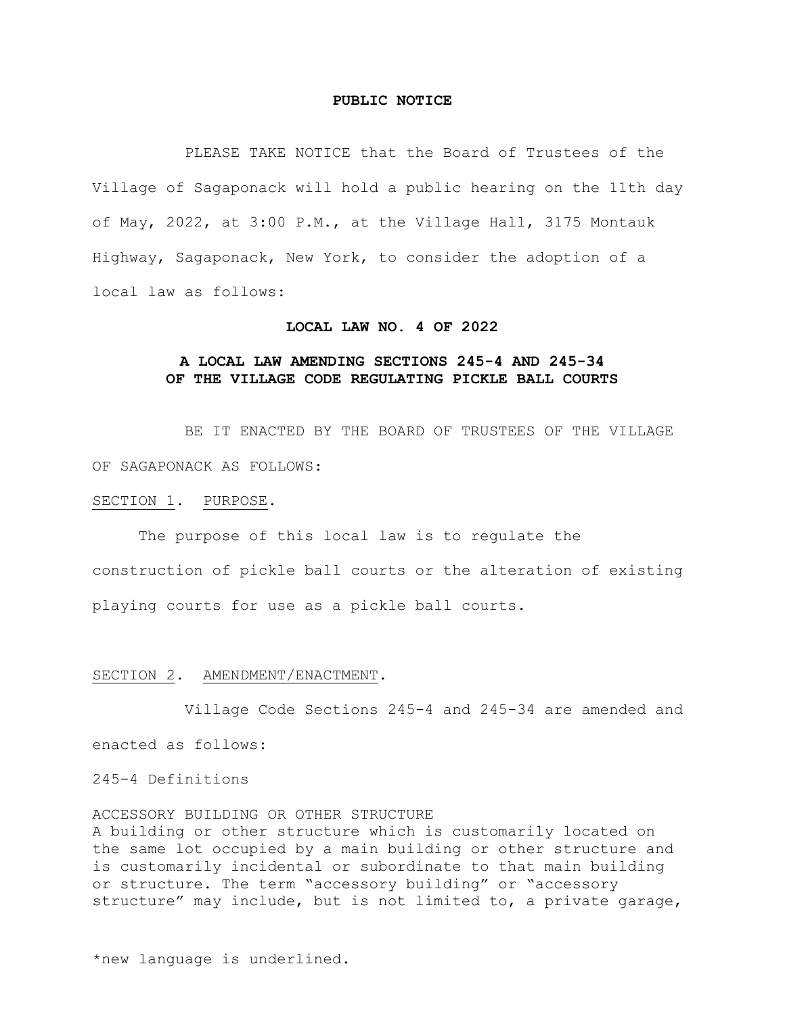### **PUBLIC NOTICE**

PLEASE TAKE NOTICE that the Board of Trustees of the Village of Sagaponack will hold a public hearing on the 11th day of May, 2022, at 3:00 P.M., at the Village Hall, 3175 Montauk Highway, Sagaponack, New York, to consider the adoption of a local law as follows:

#### **LOCAL LAW NO. 4 OF 2022**

# **A LOCAL LAW AMENDING SECTIONS 245-4 AND 245-34 OF THE VILLAGE CODE REGULATING PICKLE BALL COURTS**

BE IT ENACTED BY THE BOARD OF TRUSTEES OF THE VILLAGE OF SAGAPONACK AS FOLLOWS:

### SECTION 1. PURPOSE.

The purpose of this local law is to regulate the construction of pickle ball courts or the alteration of existing playing courts for use as a pickle ball courts.

### SECTION 2. AMENDMENT/ENACTMENT.

Village Code Sections 245-4 and 245-34 are amended and enacted as follows:

## 245-4 Definitions

ACCESSORY BUILDING OR OTHER STRUCTURE

A building or other structure which is customarily located on the same lot occupied by a main building or other structure and is customarily incidental or subordinate to that main building or structure. The term "accessory building" or "accessory structure" may include, but is not limited to, a private garage,

\*new language is underlined.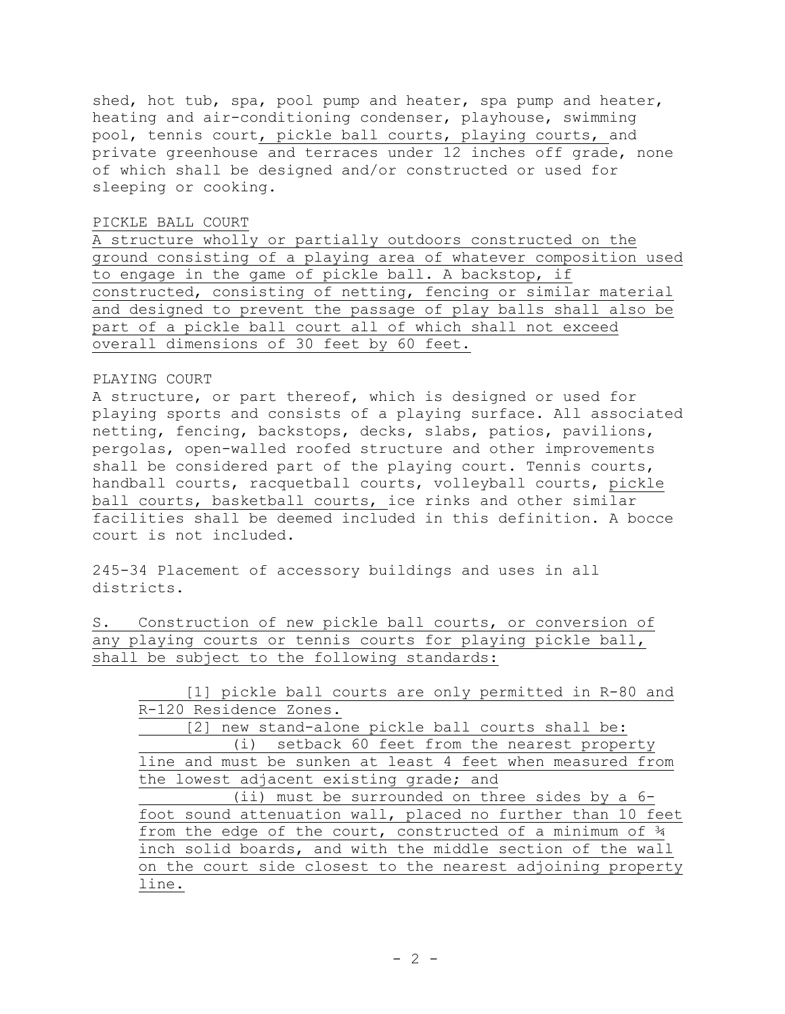shed, hot tub, spa, pool pump and heater, spa pump and heater, heating and air-conditioning condenser, playhouse, swimming pool, tennis court, pickle ball courts, playing courts, and private greenhouse and terraces under 12 inches off grade, none of which shall be designed and/or constructed or used for sleeping or cooking.

# PICKLE BALL COURT

A structure wholly or partially outdoors constructed on the ground consisting of a playing area of whatever composition used to engage in the game of pickle ball. A backstop, if constructed, consisting of netting, fencing or similar material and designed to prevent the passage of play balls shall also be part of a pickle ball court all of which shall not exceed overall dimensions of 30 feet by 60 feet.

# PLAYING COURT

A structure, or part thereof, which is designed or used for playing sports and consists of a playing surface. All associated netting, fencing, backstops, decks, slabs, patios, pavilions, pergolas, open-walled roofed structure and other improvements shall be considered part of the playing court. Tennis courts, handball courts, racquetball courts, volleyball courts, pickle ball courts, basketball courts, ice rinks and other similar facilities shall be deemed included in this definition. A bocce court is not included.

245-34 Placement of accessory buildings and uses in all districts.

S. Construction of new pickle ball courts, or conversion of any playing courts or tennis courts for playing pickle ball, shall be subject to the following standards:

[1] pickle ball courts are only permitted in R-80 and R-120 Residence Zones.

[2] new stand-alone pickle ball courts shall be: (i) setback 60 feet from the nearest property line and must be sunken at least 4 feet when measured from the lowest adjacent existing grade; and

(ii) must be surrounded on three sides by a 6 foot sound attenuation wall, placed no further than 10 feet from the edge of the court, constructed of a minimum of ¾ inch solid boards, and with the middle section of the wall on the court side closest to the nearest adjoining property line.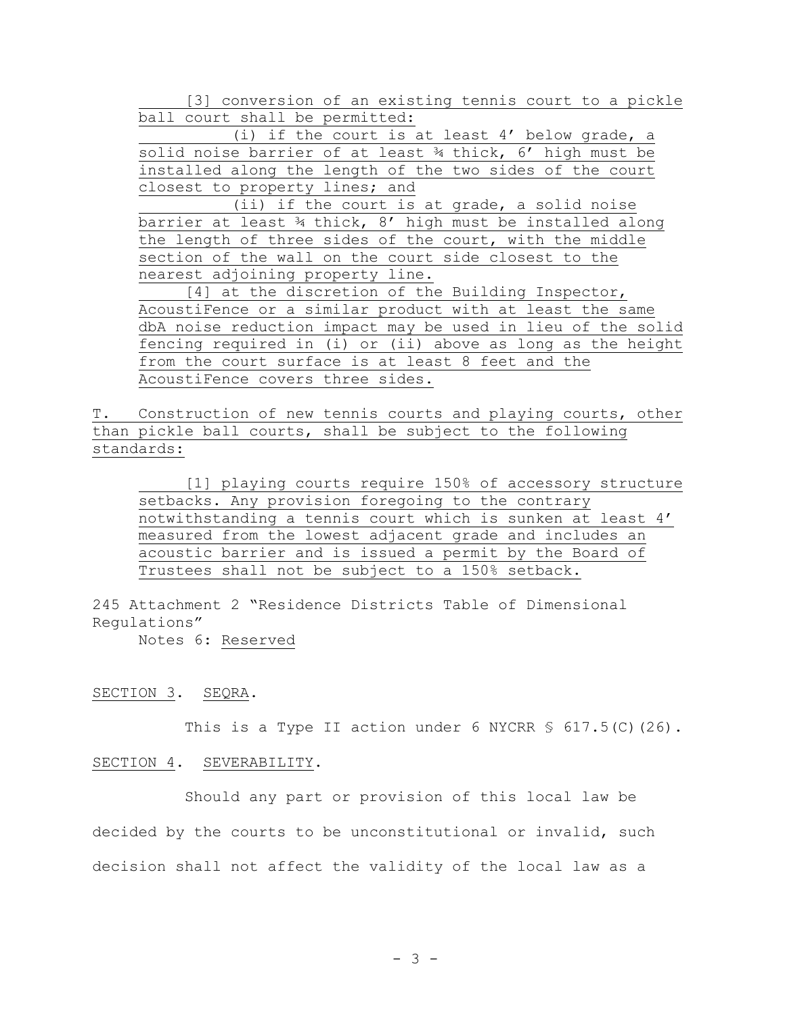[3] conversion of an existing tennis court to a pickle ball court shall be permitted:

(i) if the court is at least 4' below grade, a solid noise barrier of at least ¾ thick, 6' high must be installed along the length of the two sides of the court closest to property lines; and

(ii) if the court is at grade, a solid noise barrier at least ¾ thick, 8' high must be installed along the length of three sides of the court, with the middle section of the wall on the court side closest to the nearest adjoining property line.

[4] at the discretion of the Building Inspector, AcoustiFence or a similar product with at least the same dbA noise reduction impact may be used in lieu of the solid fencing required in (i) or (ii) above as long as the height from the court surface is at least 8 feet and the AcoustiFence covers three sides.

T. Construction of new tennis courts and playing courts, other than pickle ball courts, shall be subject to the following standards:

[1] playing courts require 150% of accessory structure setbacks. Any provision foregoing to the contrary notwithstanding a tennis court which is sunken at least 4' measured from the lowest adjacent grade and includes an acoustic barrier and is issued a permit by the Board of Trustees shall not be subject to a 150% setback.

245 Attachment 2 "Residence Districts Table of Dimensional Regulations"

Notes 6: Reserved

#### SECTION 3. SEQRA.

This is a Type II action under 6 NYCRR  $$617.5(C) (26)$ .

# SECTION 4. SEVERABILITY.

Should any part or provision of this local law be decided by the courts to be unconstitutional or invalid, such decision shall not affect the validity of the local law as a